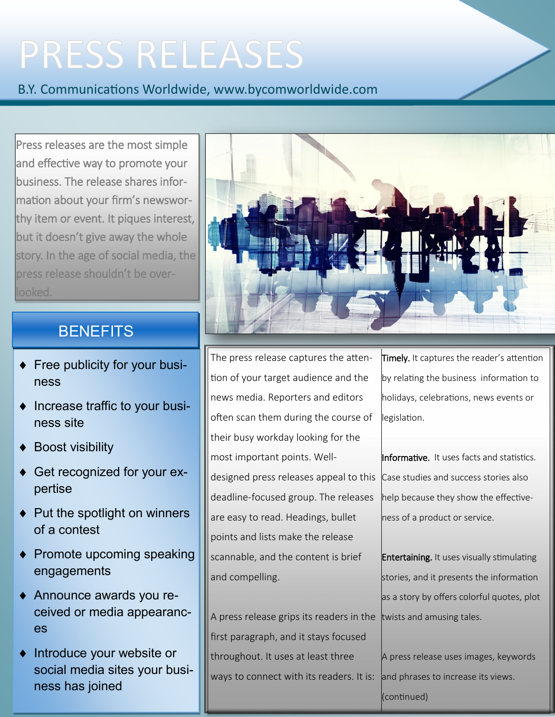# **PRESS RELEASES**

B.Y. Communications Worldwide, www.bycomworldwide.com

Press releases are the most simple and effective way to promote your business. The release shares information about your firm's newsworthy item or event. It piques interest, but it doesn't give away the whole story. In the age of social media, the press release shouldn't be overlooked.

### **BENEFITS**

- **Free publicity for your busi**ness
- Increase traffic to your business site
- Boost visibility
- Get recognized for your expertise
- Put the spotlight on winners of a contest
- Promote upcoming speaking engagements
- Announce awards you received or media appearances
- $\bullet$  Introduce your website or social media sites your business has joined



The press release captures the attention of your target audience and the news media. Reporters and editors often scan them during the course of their busy workday looking for the most important points. Welldesigned press releases appeal to this Case studies and success stories also deadline-focused group. The releases are easy to read. Headings, bullet points and lists make the release scannable, and the content is brief and compelling.

A press release grips its readers in the  $|$ twists and amusing tales. first paragraph, and it stays focused throughout. It uses at least three ways to connect with its readers. It is:

Timely. It captures the reader's attention by relating the business information to holidays, celebrations, news events or legislation.

Informative. It uses facts and statistics. help because they show the effectiveness of a product or service.

**Entertaining.** It uses visually stimulating stories, and it presents the information as a story by offers colorful quotes, plot

A press release uses images, keywords and phrases to increase its views. (continued)